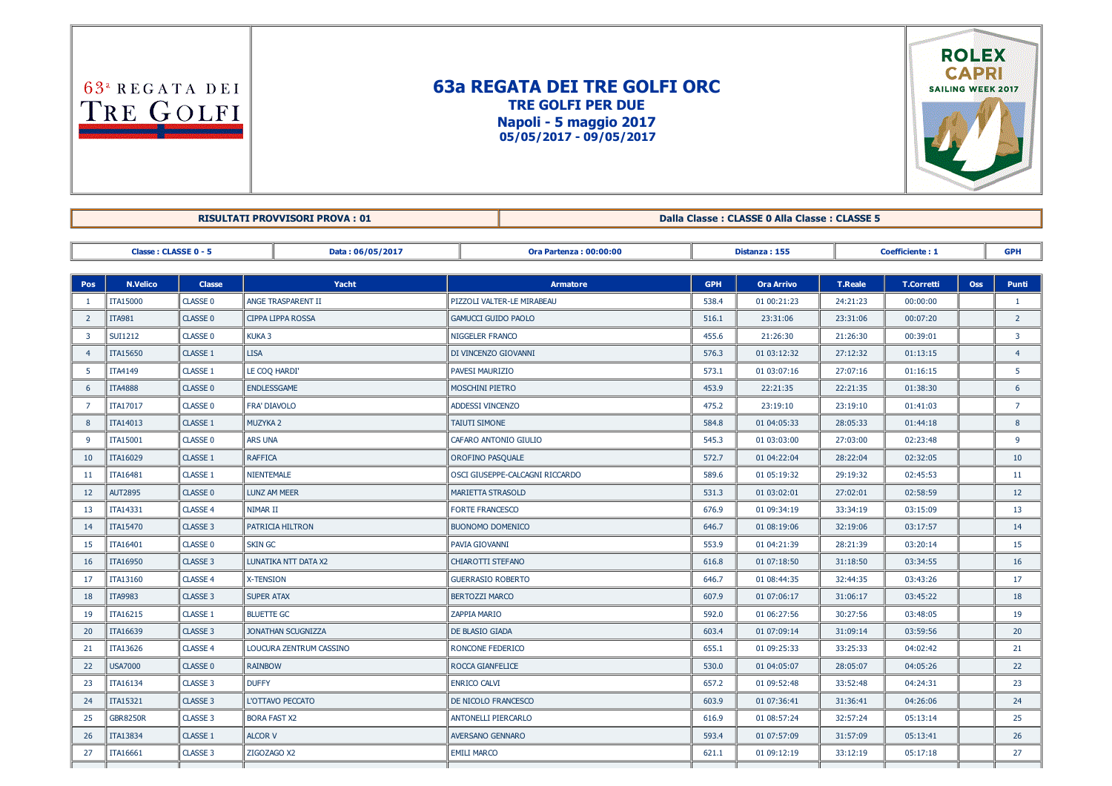$63<sup>a</sup>$  REGATA DEI TRE GOLFI

## 63a REGATA DEI TRE GOLFI ORC TRE GOLFI PER DUE Napoli - 5 maggio 2017 05/05/2017 09/05/2017



RISULTATI PROVVISORI PROVA : 01 Dalla Classe : CLASSE 0 Alla Classe : CLASSE 5

Classe : CLASSE 0 5 Data : 06/05/2017 Ora Partenza : 00:00:00 Distanza : 155 Coefficiente : 1 GPH Pos N.Velico Classe Yacht Armatore GPH Ora Arrivo T.Reale T.Corretti Oss Punti 1 ||TTA15000 ||CLASSE 0 ||ANGE TRASPARENT II ||PIZZOLI VALTER-LE MIRABEAU || 538.4 || 01 00:21:23 || 24:21:23 || 00:00:00 || || 1 2 ||ITA981 ||CLASSE 0 ||CIPPA LIPPA ROSSA ||GAMUCCI GUIDO PAOLO || 516.1 || 23:31:06 || 23:31:06 || 00:07:20 || || 2 3 SUI1212 CLASSE 0 KUKA 3 NIGGELER FRANCO 455.6 21:26:30 21:26:30 00:39:01 3 4 ||ITA15650 ||CLASSE 1 ||LISA ||DI VINCENZO GIOVANNI || 576.3 || 01:03:12:32 || 27:12:32 || 01:13:15 || || 4 5 ITA4149 CLASSE 1 LE COQ HARDI' PAVESI MAURIZIO 573.1 01 03:07:16 27:07:16 01:16:15 5 6 ||ITA4888 ||CLASSE 0 ||ENDLESSGAME ||MOSCHINI PIETRO || 453.9 || 22:21:35 || 22:21:35 || 01:38:30 || || 6 7 ||ITA17017 ||CLASSE 0 ||FRA' DIAVOLO || ADDESSI VINCENZO || 475.2 || 23:19:10 || 23:19:10 || 01:41:03 || || 7 8 ||ITA14013 ||CLASSE 1 ||MUZYKA 2 || TAIUTI SIMONE || 584.8 || 01:04:05:33 || 28:05:33 || 01:44:18 || || 8 9 ||ITA15001 ||CLASSE 0 ||ARS UNA ||CAFARO ANTONIO GIULIO || 545.3 || 01 03:03:00 || 27:03:00 || 02:23:48 || || 9 10 ||1TA16029 ||CLASSE 1 ||RAFFICA ||OROFINO PASQUALE || 572.7 || 0104:22:04 || 28:22:04 || 02:32:05 || || 10 11 ITA16481 CLASSE 1 NIENTEMALE OSCI GIUSEPPECALCAGNI RICCARDO 589.6 01 05:19:32 29:19:32 02:45:53 11 12 ||AUT2895 ||CLASSE 0 ||LUNZ AM MEER MARIETTA STRASOLD || MARIETTA STRASOLD || 531.3 || 01 03:02:01 || 27:02:01 || 02:58:59 || || 12 13 ||1TA14331 ||CLASSE 4 ||NIMAR II ||| FORTE FRANCESCO || 676.9 || 01 09:34:19 || 33:34:19 || 03:15:09 || || 13 14 ||1TA15470 ||CLASSE 3 ||PATRICIA HILTRON ||BUONOMO DOMENICO || 646.7 || 01 08:19:06 || 32:19:06 || 03:17:57 || || 14 15 ||1TA16401 ||CLASSE 0 ||SKIN GC ||PAVIA GIOVANNI || 553.9 || 01 04:21:39 || 28:21:39 || 03:20:14 || || 15 16 ITA16950 CLASSE 3 LUNATIKA NTT DATA X2 CHIAROTTI STEFANO 616.8 01 07:18:50 31:18:50 03:34:55 16 17 || ITA13160 || CLASSE 4 || X-TENSION || GUERRASIO ROBERTO || 646.7 || 01 08:44:35 || 32:44:35 || 03:43:26 || || 17 18 ||1TA9983 ||CLASSE 3 ||SUPER ATAX ||BERTOZZI MARCO || 607.9 || 01 07:06:17 || 31:06:17 || 03:45:22 || || 18 19 ||ITA16215 ||CLASSE 1 ||BLUETTE GC || ZAPPIA MARIO 592.0 || 01 06:27:56 || 30:27:56 || 03:48:05 || || 19 20 ||TTA16639 ||CLASSE 3 ||JONATHAN SCUGNIZZA || DE BLASIO GIADA || DE BLASIO GIADA || 603.4 || 01.07:09:14 || 31:09:14 || 03:59:56 || || 20 21 ||ITA13626 ||CLASSE 4 ||LOUCURA ZENTRUM CASSINO ||RONCONE FEDERICO || 655.1 || 01 09:25:33 || 33:25:33 || 04:02:42 || || 21 22 ||USA7000 ||CLASSE 0 ||RAINBOW || SALOM || ROCCA GIANFELICE || SALOM || S30.0 || 01:04:05:07 || 28:05:07 || 04:05:26 || || 22 23 ||ITA16134 ||CLASSE 3 ||DUFFY ||ENRICO CALVI || 657.2 || 01 09:52:48 || 33:52:48 || 04:24:31 || || 23 24 ITA15321 CLASSE 3 L'OTTAVO PECCATO DE NICOLO FRANCESCO 603.9 01 07:36:41 31:36:41 04:26:06 24 25 GBR8250R ||CLASSE 3 ||BORA FAST X2 || ANTONELLI PIERCARLO || 616.9 || 01 08:57:24 || 32:57:24 || 05:13:14 || || 25 26 ||ITA13834 ||CLASSE 1 ||ALCOR V || AVERSANO GENNARO || 593.4 || 01 07:57:09 || 31:57:09 || 05:13:41 || || 26

27 ||ITA16661 ||CLASSE 3 ||ZIGOZAGO X2 || EMILI MARCO || 621.1 || 01 09:12:19 || 33:12:19 || 05:17:18 || || 27